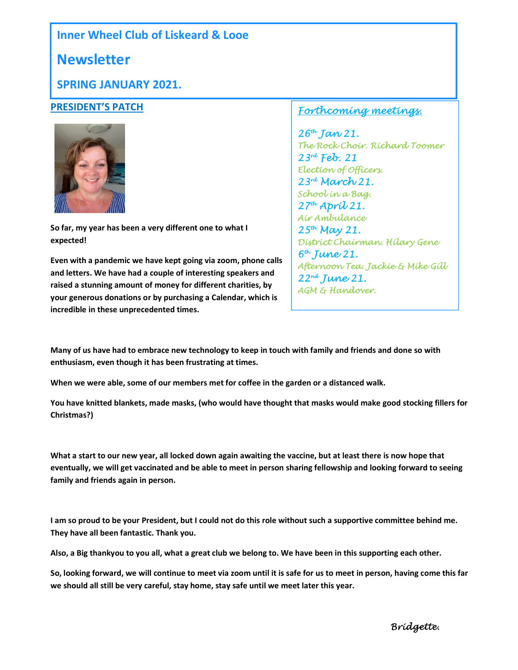## Inner Wheel Club of Liskeard & Looe

## **Newsletter**

### SPRING JANUARY 2021.

#### PRESIDENT'S PATCH



So far, my year has been a very different one to what I expected!

Even with a pandemic we have kept going via zoom, phone calls and letters. We have had a couple of interesting speakers and raised a stunning amount of money for different charities, by your generous donations or by purchasing a Calendar, which is incredible in these unprecedented times.

#### Forthcoming meetings.

 $26^{th}$  Jan 21. The Rock Choir. Richard Toomer  $23^{rd}$  Feb. 21 Election of Officers. 23rd March 21. School in a Bag.  $27<sup>th</sup>$  Aprí $U$ 21. Air Ambulance  $25^{th}$  May 21. District Chairman. Hilary Gene  $6<sup>th</sup>$  June 21. Afternoon Tea. Jackie & Mike Gill 22nd June 21. AGM & Handover.

Many of us have had to embrace new technology to keep in touch with family and friends and done so with enthusiasm, even though it has been frustrating at times.

When we were able, some of our members met for coffee in the garden or a distanced walk.

You have knitted blankets, made masks, (who would have thought that masks would make good stocking fillers for Christmas?)

What a start to our new year, all locked down again awaiting the vaccine, but at least there is now hope that eventually, we will get vaccinated and be able to meet in person sharing fellowship and looking forward to seeing family and friends again in person.

I am so proud to be your President, but I could not do this role without such a supportive committee behind me. They have all been fantastic. Thank you.

Also, a Big thankyou to you all, what a great club we belong to. We have been in this supporting each other.

So, looking forward, we will continue to meet via zoom until it is safe for us to meet in person, having come this far we should all still be very careful, stay home, stay safe until we meet later this year.

Bridgette.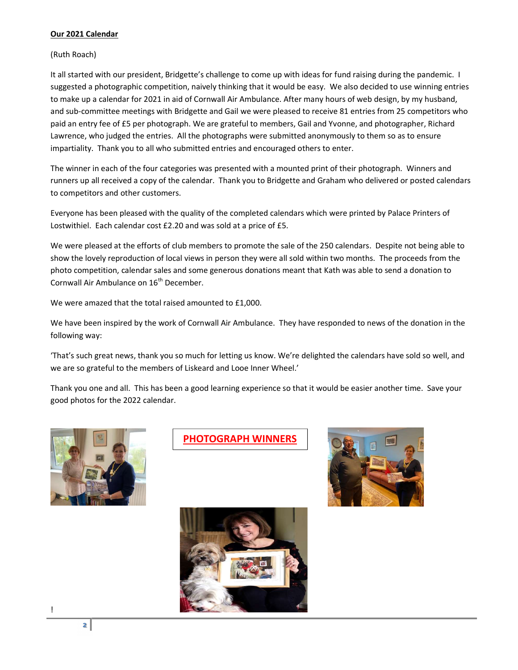#### Our 2021 Calendar

(Ruth Roach)

It all started with our president, Bridgette's challenge to come up with ideas for fund raising during the pandemic. I suggested a photographic competition, naively thinking that it would be easy. We also decided to use winning entries to make up a calendar for 2021 in aid of Cornwall Air Ambulance. After many hours of web design, by my husband, and sub-committee meetings with Bridgette and Gail we were pleased to receive 81 entries from 25 competitors who paid an entry fee of £5 per photograph. We are grateful to members, Gail and Yvonne, and photographer, Richard Lawrence, who judged the entries. All the photographs were submitted anonymously to them so as to ensure impartiality. Thank you to all who submitted entries and encouraged others to enter.

The winner in each of the four categories was presented with a mounted print of their photograph. Winners and runners up all received a copy of the calendar. Thank you to Bridgette and Graham who delivered or posted calendars to competitors and other customers.

Everyone has been pleased with the quality of the completed calendars which were printed by Palace Printers of Lostwithiel. Each calendar cost £2.20 and was sold at a price of £5.

We were pleased at the efforts of club members to promote the sale of the 250 calendars. Despite not being able to show the lovely reproduction of local views in person they were all sold within two months. The proceeds from the photo competition, calendar sales and some generous donations meant that Kath was able to send a donation to Cornwall Air Ambulance on 16<sup>th</sup> December.

We were amazed that the total raised amounted to £1,000.

We have been inspired by the work of Cornwall Air Ambulance. They have responded to news of the donation in the following way:

'That's such great news, thank you so much for letting us know. We're delighted the calendars have sold so well, and we are so grateful to the members of Liskeard and Looe Inner Wheel.'

Thank you one and all. This has been a good learning experience so that it would be easier another time. Save your good photos for the 2022 calendar.



PHOTOGRAPH WINNERS





!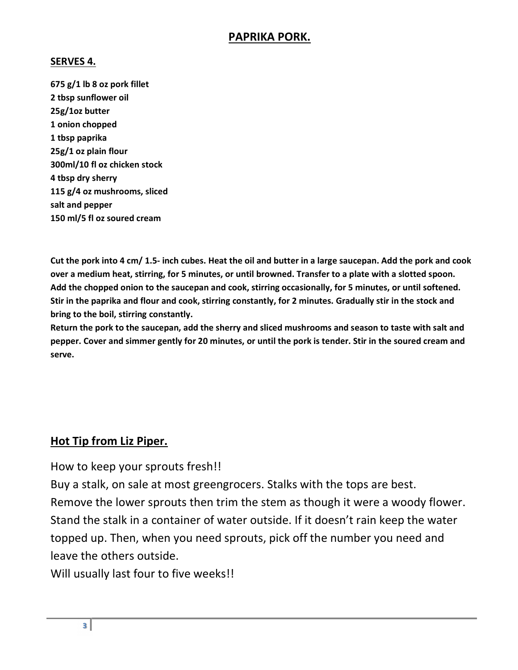## PAPRIKA PORK.

#### SERVES 4.

675 g/1 lb 8 oz pork fillet 2 tbsp sunflower oil 25g/1oz butter 1 onion chopped 1 tbsp paprika 25g/1 oz plain flour 300ml/10 fl oz chicken stock 4 tbsp dry sherry 115 g/4 oz mushrooms, sliced salt and pepper 150 ml/5 fl oz soured cream

Cut the pork into 4 cm/ 1.5- inch cubes. Heat the oil and butter in a large saucepan. Add the pork and cook over a medium heat, stirring, for 5 minutes, or until browned. Transfer to a plate with a slotted spoon. Add the chopped onion to the saucepan and cook, stirring occasionally, for 5 minutes, or until softened. Stir in the paprika and flour and cook, stirring constantly, for 2 minutes. Gradually stir in the stock and bring to the boil, stirring constantly.

Return the pork to the saucepan, add the sherry and sliced mushrooms and season to taste with salt and pepper. Cover and simmer gently for 20 minutes, or until the pork is tender. Stir in the soured cream and serve.

## Hot Tip from Liz Piper.

How to keep your sprouts fresh!!

Buy a stalk, on sale at most greengrocers. Stalks with the tops are best. Remove the lower sprouts then trim the stem as though it were a woody flower. Stand the stalk in a container of water outside. If it doesn't rain keep the water topped up. Then, when you need sprouts, pick off the number you need and leave the others outside.

Will usually last four to five weeks!!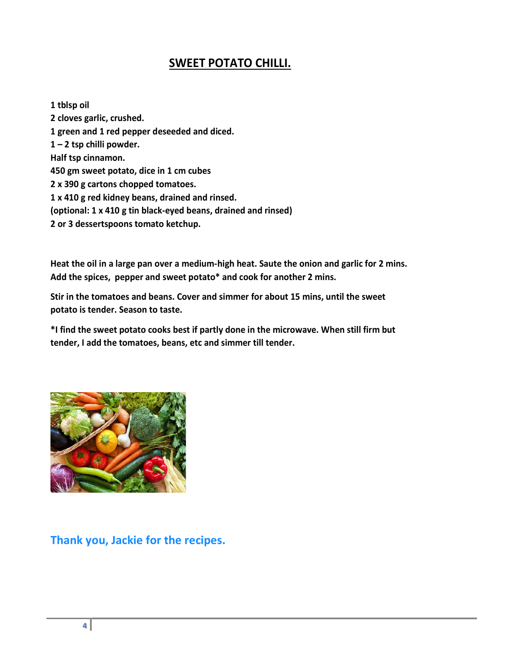## SWEET POTATO CHILLI.

1 tblsp oil 2 cloves garlic, crushed. 1 green and 1 red pepper deseeded and diced. 1 – 2 tsp chilli powder. Half tsp cinnamon. 450 gm sweet potato, dice in 1 cm cubes 2 x 390 g cartons chopped tomatoes. 1 x 410 g red kidney beans, drained and rinsed. (optional: 1 x 410 g tin black-eyed beans, drained and rinsed) 2 or 3 dessertspoons tomato ketchup.

Heat the oil in a large pan over a medium-high heat. Saute the onion and garlic for 2 mins. Add the spices, pepper and sweet potato\* and cook for another 2 mins.

Stir in the tomatoes and beans. Cover and simmer for about 15 mins, until the sweet potato is tender. Season to taste.

\*I find the sweet potato cooks best if partly done in the microwave. When still firm but tender, I add the tomatoes, beans, etc and simmer till tender.



Thank you, Jackie for the recipes.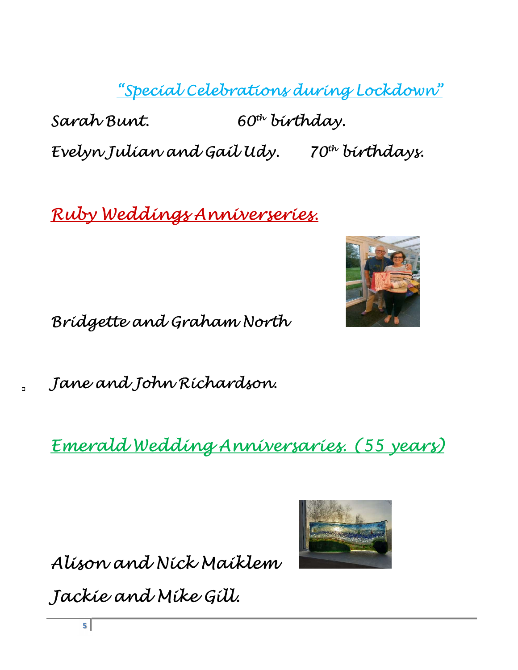"Special Celebrations during Lockdown"

Sarah Bunt. 60<sup>th</sup> birthday. Evelyn Julian and Gail Udy. 70th birthdays.

Ruby Weddings Anniverseries.



Bridgette and Graham North

Jane and John Richardson.

Emerald Wedding Anniversaries. (55 years)

Alison and Nick Maiklem



Jackie and Mike Gill.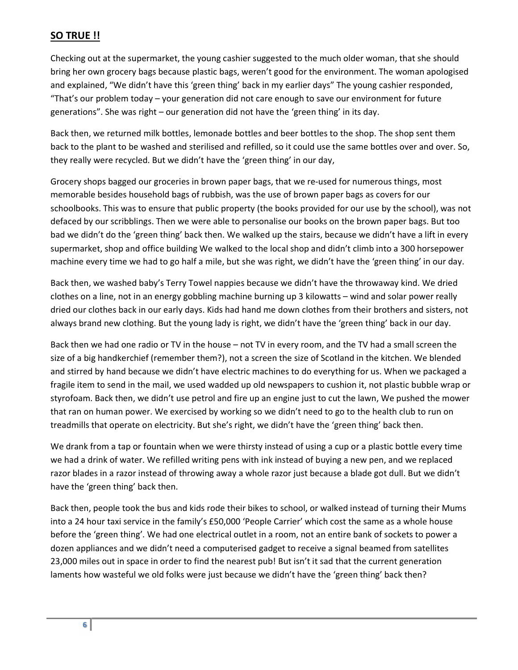#### SO TRUE !!

Checking out at the supermarket, the young cashier suggested to the much older woman, that she should bring her own grocery bags because plastic bags, weren't good for the environment. The woman apologised and explained, "We didn't have this 'green thing' back in my earlier days" The young cashier responded, "That's our problem today – your generation did not care enough to save our environment for future generations". She was right – our generation did not have the 'green thing' in its day.

Back then, we returned milk bottles, lemonade bottles and beer bottles to the shop. The shop sent them back to the plant to be washed and sterilised and refilled, so it could use the same bottles over and over. So, they really were recycled. But we didn't have the 'green thing' in our day,

Grocery shops bagged our groceries in brown paper bags, that we re-used for numerous things, most memorable besides household bags of rubbish, was the use of brown paper bags as covers for our schoolbooks. This was to ensure that public property (the books provided for our use by the school), was not defaced by our scribblings. Then we were able to personalise our books on the brown paper bags. But too bad we didn't do the 'green thing' back then. We walked up the stairs, because we didn't have a lift in every supermarket, shop and office building We walked to the local shop and didn't climb into a 300 horsepower machine every time we had to go half a mile, but she was right, we didn't have the 'green thing' in our day.

Back then, we washed baby's Terry Towel nappies because we didn't have the throwaway kind. We dried clothes on a line, not in an energy gobbling machine burning up 3 kilowatts – wind and solar power really dried our clothes back in our early days. Kids had hand me down clothes from their brothers and sisters, not always brand new clothing. But the young lady is right, we didn't have the 'green thing' back in our day.

Back then we had one radio or TV in the house – not TV in every room, and the TV had a small screen the size of a big handkerchief (remember them?), not a screen the size of Scotland in the kitchen. We blended and stirred by hand because we didn't have electric machines to do everything for us. When we packaged a fragile item to send in the mail, we used wadded up old newspapers to cushion it, not plastic bubble wrap or styrofoam. Back then, we didn't use petrol and fire up an engine just to cut the lawn, We pushed the mower that ran on human power. We exercised by working so we didn't need to go to the health club to run on treadmills that operate on electricity. But she's right, we didn't have the 'green thing' back then.

We drank from a tap or fountain when we were thirsty instead of using a cup or a plastic bottle every time we had a drink of water. We refilled writing pens with ink instead of buying a new pen, and we replaced razor blades in a razor instead of throwing away a whole razor just because a blade got dull. But we didn't have the 'green thing' back then.

Back then, people took the bus and kids rode their bikes to school, or walked instead of turning their Mums into a 24 hour taxi service in the family's £50,000 'People Carrier' which cost the same as a whole house before the 'green thing'. We had one electrical outlet in a room, not an entire bank of sockets to power a dozen appliances and we didn't need a computerised gadget to receive a signal beamed from satellites 23,000 miles out in space in order to find the nearest pub! But isn't it sad that the current generation laments how wasteful we old folks were just because we didn't have the 'green thing' back then?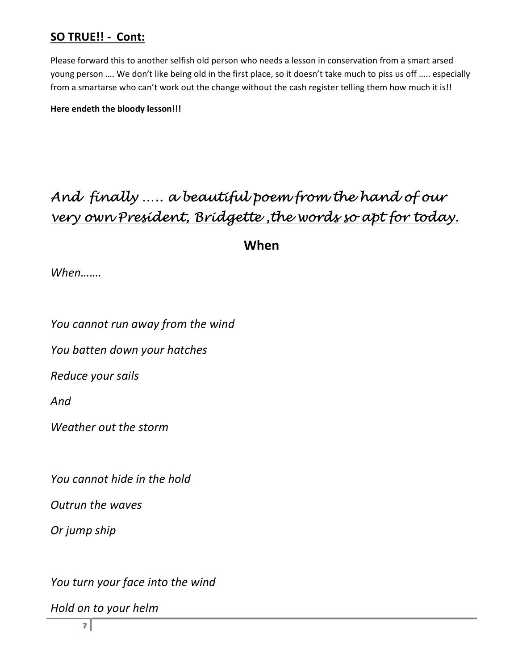## SO TRUE!! - Cont:

Please forward this to another selfish old person who needs a lesson in conservation from a smart arsed young person …. We don't like being old in the first place, so it doesn't take much to piss us off ….. especially from a smartarse who can't work out the change without the cash register telling them how much it is!!

Here endeth the bloody lesson!!!

# And finally ….. a beautiful poem from the hand of our very own President, Bridgette ,the words so apt for today.

When

When…….

You cannot run away from the wind

You batten down your hatches

Reduce your sails

And

Weather out the storm

You cannot hide in the hold

Outrun the waves

Or jump ship

You turn your face into the wind

Hold on to your helm